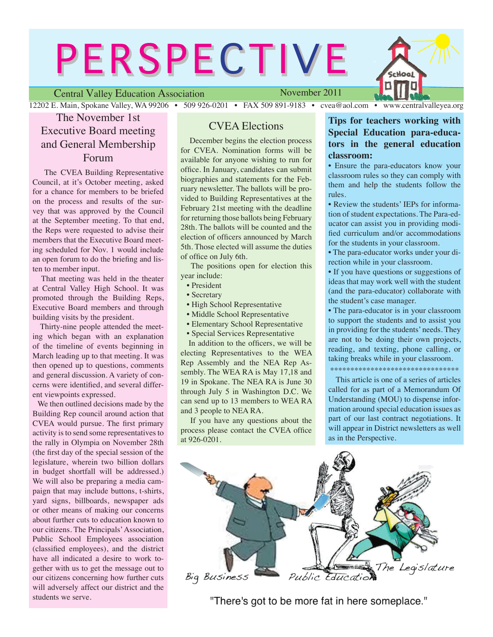# **PERSPECTIVE**

Central Valley Education Association

November 2011

12202 E. Main, Spokane Valley, WA 99206 • 509 926-0201 • FAX 509 891-9183 • cvea@aol.com • www.centralvalleyea.org

Hool

### The November 1st Executive Board meeting and General Membership Forum

 The CVEA Building Representative Council, at it's October meeting, asked for a chance for members to be briefed on the process and results of the survey that was approved by the Council at the September meeting. To that end, the Reps were requested to advise their members that the Executive Board meeting scheduled for Nov. 1 would include an open forum to do the briefing and listen to member input.

 That meeting was held in the theater at Central Valley High School. It was promoted through the Building Reps, Executive Board members and through building visits by the president.

 Thirty-nine people attended the meeting which began with an explanation of the timeline of events beginning in March leading up to that meeting. It was then opened up to questions, comments and general discussion. A variety of concerns were identified, and several different viewpoints expressed.

 We then outlined decisions made by the Building Rep council around action that CVEA would pursue. The first primary activity is to send some representatives to the rally in Olympia on November 28th (the first day of the special session of the legislature, wherein two billion dollars in budget shortfall will be addressed.) We will also be preparing a media campaign that may include buttons, t-shirts, yard signs, billboards, newspaper ads or other means of making our concerns about further cuts to education known to our citizens. The Principals' Association, Public School Employees association (classified employees), and the district have all indicated a desire to work together with us to get the message out to our citizens concerning how further cuts will adversely affect our district and the students we serve.

#### CVEA Elections

 December begins the election process for CVEA. Nomination forms will be available for anyone wishing to run for office. In January, candidates can submit biographies and statements for the February newsletter. The ballots will be provided to Building Representatives at the February 21st meeting with the deadline for returning those ballots being February 28th. The ballots will be counted and the election of officers announced by March 5th. Those elected will assume the duties of office on July 6th.

 The positions open for election this year include:

- President
- Secretary
- High School Representative
- Middle School Representative
- Elementary School Representative
- Special Services Representative

 In addition to the officers, we will be electing Representatives to the WEA Rep Assembly and the NEA Rep Assembly. The WEA RA is May 17,18 and 19 in Spokane. The NEA RA is June 30 through July 5 in Washington D.C. We can send up to 13 members to WEA RA and 3 people to NEA RA.

 If you have any questions about the process please contact the CVEA office at 926-0201.

#### **Tips for teachers working with Special Education para-educators in the general education classroom:**

• Ensure the para-educators know your classroom rules so they can comply with them and help the students follow the rules.

• Review the students' IEPs for information of student expectations. The Para-educator can assist you in providing modified curriculum and/or accommodations for the students in your classroom.

• The para-educator works under your direction while in your classroom.

• If you have questions or suggestions of ideas that may work well with the student (and the para-educator) collaborate with the student's case manager.

• The para-educator is in your classroom to support the students and to assist you in providing for the students' needs. They are not to be doing their own projects, reading, and texting, phone calling, or taking breaks while in your classroom.

\*\*\*\*\*\*\*\*\*\*\*\*\*\*\*\*\*\*\*\*\*\*\*\*\*\*\*\*\*

 This article is one of a series of articles called for as part of a Memorandum Of Understanding (MOU) to dispense information around special education issues as part of our last contract negotiations. It will appear in District newsletters as well as in the Perspective.



"There's got to be more fat in here someplace."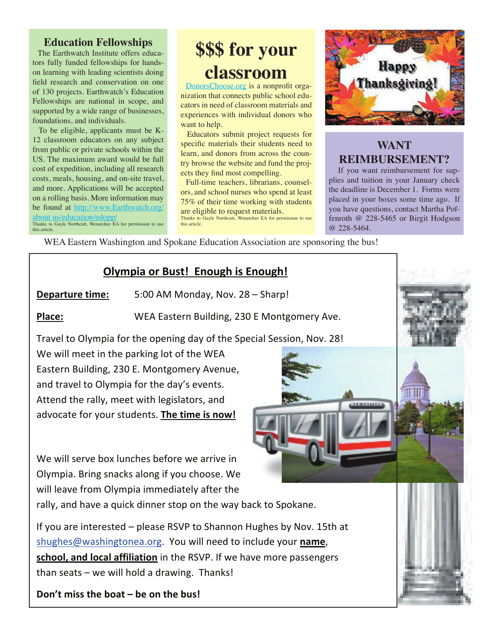#### **Education Fellowships**

The Earthwatch Institute offers educators fully funded fellowships for handson learning with leading scientists doing field research and conservation on one of 130 projects. Earthwatch's Education Fellowships are national in scope, and supported by a wide range of businesses, foundations, and individuals.

To be eligible, applicants must be K-12 classroom educators on any subject from public or private schools within the US. The maximum award would be full cost of expedition, including all research costs, meals, housing, and on-site travel, and more. Applications will be accepted on a rolling basis. More information may be found at http://www.Earthwatch.org/ about us/education/edopp Thanks to Gayle Northcutt, Wenatchee EA for permission to use

## \$\$\$ for your classroom

DonorsChoose.org is a nonprofit organization that connects public school educators in need of classroom materials and experiences with individual donors who want to help.

Educators submit project requests for specific materials their students need to learn, and donors from across the country browse the website and fund the projects they find most compelling.

Full-time teachers, librarians, counselors, and school nurses who spend at least 75% of their time working with students are eligible to request materials. Thanks to Gayle Northcutt, Wenatchee EA for permission to use this article.



## **WANT REIMBURSEMENT?**

If you want reimbursement for supplies and tuition in your January check the deadline is December 1. Forms were placed in your boxes some time ago. If you have questions, contact Martha Poffenroth  $@$  228-5465 or Birgit Hodgson @ 228-5464.

WEA Eastern Washington and Spokane Education Association are sponsoring the bus!

## **Olympia or Bust! Enough is Enough!**

Departure time: 5:00 AM Monday, Nov. 28 - Sharp!

Place:

this article.

WEA Eastern Building, 230 E Montgomery Ave.

Travel to Olympia for the opening day of the Special Session, Nov. 28!

We will meet in the parking lot of the WEA Eastern Building, 230 E. Montgomery Avenue, and travel to Olympia for the day's events. Attend the rally, meet with legislators, and advocate for your students. The time is now!

We will serve box lunches before we arrive in Olympia. Bring snacks along if you choose. We will leave from Olympia immediately after the

rally, and have a quick dinner stop on the way back to Spokane.

If you are interested – please RSVP to Shannon Hughes by Nov. 15th at shughes@washingtonea.org. You will need to include your name, school, and local affiliation in the RSVP. If we have more passengers than seats - we will hold a drawing. Thanks!

Don't miss the boat – be on the bus!

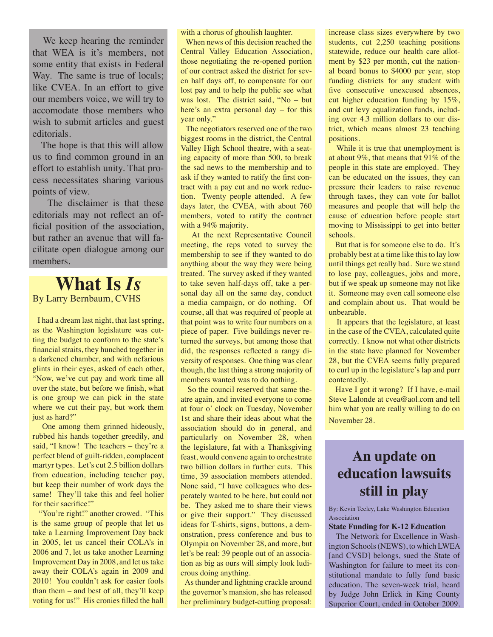We keep hearing the reminder that WEA is it's members, not some entity that exists in Federal Way. The same is true of locals; like CVEA. In an effort to give our members voice, we will try to accomodate those members who wish to submit articles and guest editorials.

 The hope is that this will allow us to find common ground in an effort to establish unity. That process necessitates sharing various points of view.

 The disclaimer is that these editorials may not reflect an official position of the association, but rather an avenue that will facilitate open dialogue among our members.

## **What Is** *Is* By Larry Bernbaum, CVHS

 I had a dream last night, that last spring, as the Washington legislature was cutting the budget to conform to the state's financial straits, they hunched together in a darkened chamber, and with nefarious glints in their eyes, asked of each other, "Now, we've cut pay and work time all over the state, but before we finish, what is one group we can pick in the state where we cut their pay, but work them just as hard?"

 One among them grinned hideously, rubbed his hands together greedily, and said, "I know! The teachers – they're a perfect blend of guilt-ridden, complacent martyr types. Let's cut 2.5 billion dollars from education, including teacher pay, but keep their number of work days the same! They'll take this and feel holier for their sacrifice!"

 "You're right!" another crowed. "This is the same group of people that let us take a Learning Improvement Day back in 2005, let us cancel their COLA's in 2006 and 7, let us take another Learning Improvement Day in 2008, and let us take away their COLA's again in 2009 and 2010! You couldn't ask for easier fools than them – and best of all, they'll keep voting for us!" His cronies filled the hall with a chorus of ghoulish laughter.

 When news of this decision reached the Central Valley Education Association, those negotiating the re-opened portion of our contract asked the district for seven half days off, to compensate for our lost pay and to help the public see what was lost. The district said, "No – but here's an extra personal day – for this year only."

 The negotiators reserved one of the two biggest rooms in the district, the Central Valley High School theatre, with a seating capacity of more than 500, to break the sad news to the membership and to ask if they wanted to ratify the first contract with a pay cut and no work reduction. Twenty people attended. A few days later, the CVEA, with about 760 members, voted to ratify the contract with a 94% majority.

 At the next Representative Council meeting, the reps voted to survey the membership to see if they wanted to do anything about the way they were being treated. The survey asked if they wanted to take seven half-days off, take a personal day all on the same day, conduct a media campaign, or do nothing. Of course, all that was required of people at that point was to write four numbers on a piece of paper. Five buildings never returned the surveys, but among those that did, the responses reflected a rangy diversity of responses. One thing was clear though, the last thing a strong majority of members wanted was to do nothing.

 So the council reserved that same theatre again, and invited everyone to come at four o' clock on Tuesday, November 1st and share their ideas about what the association should do in general, and particularly on November 28, when the legislature, fat with a Thanksgiving feast, would convene again to orchestrate two billion dollars in further cuts. This time, 39 association members attended. None said, "I have colleagues who desperately wanted to be here, but could not be. They asked me to share their views or give their support." They discussed ideas for T-shirts, signs, buttons, a demonstration, press conference and bus to Olympia on November 28, and more, but let's be real: 39 people out of an association as big as ours will simply look ludicrous doing anything.

 As thunder and lightning crackle around the governor's mansion, she has released her preliminary budget-cutting proposal:

increase class sizes everywhere by two students, cut 2,250 teaching positions statewide, reduce our health care allotment by \$23 per month, cut the national board bonus to \$4000 per year, stop funding districts for any student with five consecutive unexcused absences, cut higher education funding by 15%, and cut levy equalization funds, including over 4.3 million dollars to our district, which means almost 23 teaching positions.

 While it is true that unemployment is at about 9%, that means that 91% of the people in this state are employed. They can be educated on the issues, they can pressure their leaders to raise revenue through taxes, they can vote for ballot measures and people that will help the cause of education before people start moving to Mississippi to get into better schools.

 But that is for someone else to do. It's probably best at a time like this to lay low until things get really bad. Sure we stand to lose pay, colleagues, jobs and more, but if we speak up someone may not like it. Someone may even call someone else and complain about us. That would be unbearable.

 It appears that the legislature, at least in the case of the CVEA, calculated quite correctly. I know not what other districts in the state have planned for November 28, but the CVEA seems fully prepared to curl up in the legislature's lap and purr contentedly.

 Have I got it wrong? If I have, e-mail Steve Lalonde at cvea@aol.com and tell him what you are really willing to do on November 28.

## **An update on education lawsuits still in play**

By: Kevin Teeley, Lake Washington Education Association

#### **State Funding for K-12 Education**

 The Network for Excellence in Washington Schools (NEWS), to which LWEA [and CVSD] belongs, sued the State of Washington for failure to meet its constitutional mandate to fully fund basic education. The seven-week trial, heard by Judge John Erlick in King County Superior Court, ended in October 2009.